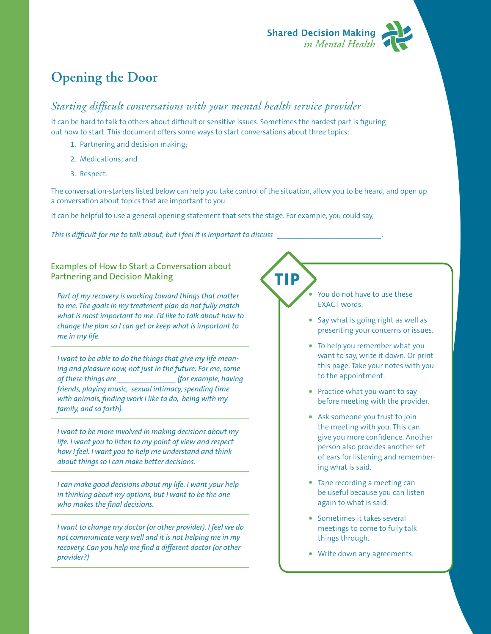

## **Opening the Door**

## *Starting difficult conversations with your mental health service provider*

It can be hard to talk to others about difficult or sensitive issues. Sometimes the hardest part is figuring out how to start. This document offers some ways to start conversations about three topics:

- 1. Partnering and decision making;
- 2. Medications; and
- 3. Respect.

The conversation-starters listed below can help you take control of the situation, allow you to be heard, and open up a conversation about topics that are important to you.

**TIP**

It can be helpful to use a general opening statement that sets the stage. For example, you could say,

*This is difficult for me to talk about, but I feel it is important to discuss \_\_\_\_\_\_\_\_\_\_\_\_\_\_\_\_\_\_\_\_\_\_\_\_\_.*

Examples of How to Start a Conversation about Partnering and Decision Making

*Part of my recovery is working toward things that matter to me. The goals in my treatment plan do not fully match what is most important to me. I'd like to talk about how to change the plan so I can get or keep what is important to me in my life.*

*I want to be able to do the things that give my life meaning and pleasure now, not just in the future. For me, some of these things are \_\_\_\_\_\_\_\_\_\_\_\_\_\_ (for example, having friends, playing music, sexual intimacy, spending time with animals, finding work I like to do, being with my family, and so forth).*

*I want to be more involved in making decisions about my life. I want you to listen to my point of view and respect how I feel. I want you to help me understand and think about things so I can make better decisions.*

*I can make good decisions about my life. I want your help in thinking about my options, but I want to be the one who makes the final decisions.*

*I want to change my doctor (or other provider). I feel we do not communicate very well and it is not helping me in my recovery. Can you help me find a different doctor (or other provider?)*

You do not have to use these EXACT words.

- **•**  Say what is going right as well as presenting your concerns or issues.
- **•**  To help you remember what you want to say, write it down. Or print this page. Take your notes with you to the appointment.
- **•**  Practice what you want to say before meeting with the provider.
- **•**  Ask someone you trust to join the meeting with you. This can give you more confidence. Another person also provides another set of ears for listening and remembering what is said.
- **•**  Tape recording a meeting can be useful because you can listen again to what is said.
- **•**  Sometimes it takes several meetings to come to fully talk things through.
- **•**  Write down any agreements.